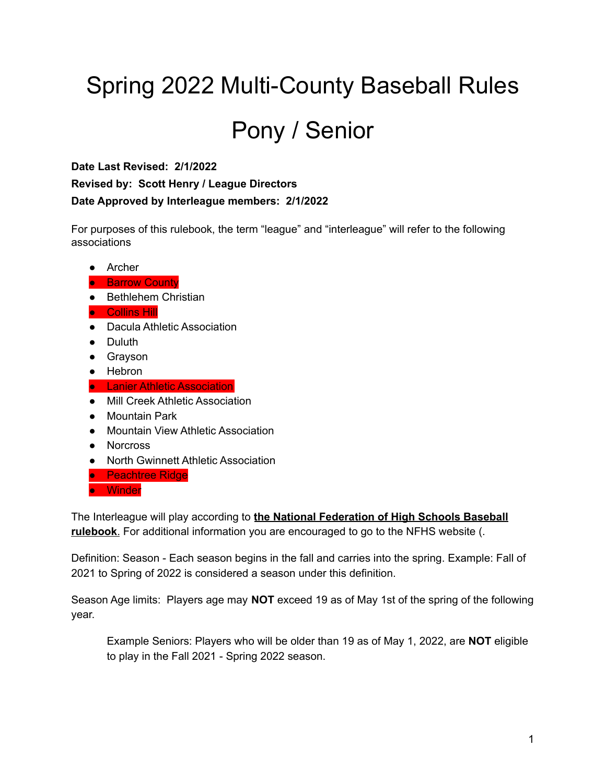# Spring 2022 Multi-County Baseball Rules

# Pony / Senior

**Date Last Revised: 2/1/2022 Revised by: Scott Henry / League Directors Date Approved by Interleague members: 2/1/2022**

For purposes of this rulebook, the term "league" and "interleague" will refer to the following associations

● Archer

#### **• Barrow County**

- Bethlehem Christian
- Collins Hill
- Dacula Athletic Association
- Duluth
- Grayson
- Hebron
- Lanier Athletic Association
- Mill Creek Athletic Association
- Mountain Park
- Mountain View Athletic Association
- Norcross
- North Gwinnett Athletic Association
- Peachtree Ridge
- Winder

The Interleague will play according to **the National Federation of High Schools Baseball rulebook**. For additional information you are encouraged to go to the NFHS website (.

Definition: Season - Each season begins in the fall and carries into the spring. Example: Fall of 2021 to Spring of 2022 is considered a season under this definition.

Season Age limits: Players age may **NOT** exceed 19 as of May 1st of the spring of the following year.

Example Seniors: Players who will be older than 19 as of May 1, 2022, are **NOT** eligible to play in the Fall 2021 - Spring 2022 season.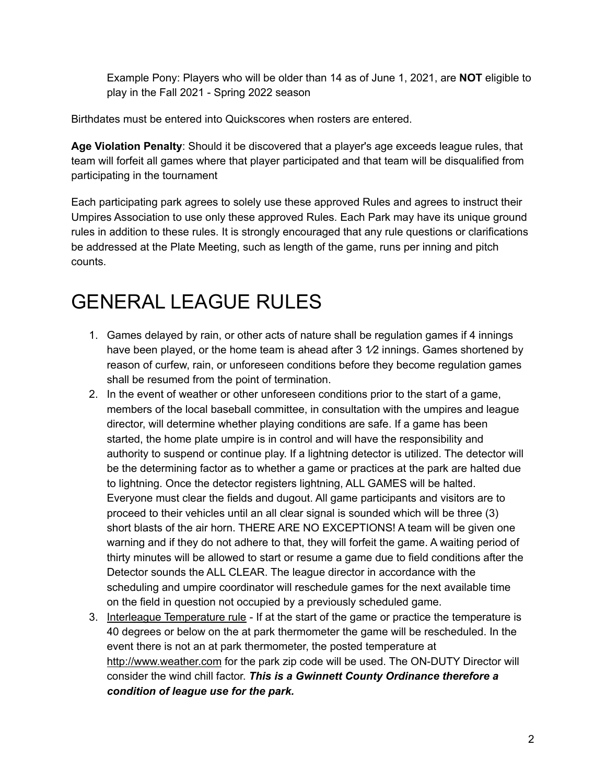Example Pony: Players who will be older than 14 as of June 1, 2021, are **NOT** eligible to play in the Fall 2021 - Spring 2022 season

Birthdates must be entered into Quickscores when rosters are entered.

**Age Violation Penalty**: Should it be discovered that a player's age exceeds league rules, that team will forfeit all games where that player participated and that team will be disqualified from participating in the tournament

Each participating park agrees to solely use these approved Rules and agrees to instruct their Umpires Association to use only these approved Rules. Each Park may have its unique ground rules in addition to these rules. It is strongly encouraged that any rule questions or clarifications be addressed at the Plate Meeting, such as length of the game, runs per inning and pitch counts.

### GENERAL LEAGUE RULES

- 1. Games delayed by rain, or other acts of nature shall be regulation games if 4 innings have been played, or the home team is ahead after  $3\sqrt{2}$  innings. Games shortened by reason of curfew, rain, or unforeseen conditions before they become regulation games shall be resumed from the point of termination.
- 2. In the event of weather or other unforeseen conditions prior to the start of a game, members of the local baseball committee, in consultation with the umpires and league director, will determine whether playing conditions are safe. If a game has been started, the home plate umpire is in control and will have the responsibility and authority to suspend or continue play. If a lightning detector is utilized. The detector will be the determining factor as to whether a game or practices at the park are halted due to lightning. Once the detector registers lightning, ALL GAMES will be halted. Everyone must clear the fields and dugout. All game participants and visitors are to proceed to their vehicles until an all clear signal is sounded which will be three (3) short blasts of the air horn. THERE ARE NO EXCEPTIONS! A team will be given one warning and if they do not adhere to that, they will forfeit the game. A waiting period of thirty minutes will be allowed to start or resume a game due to field conditions after the Detector sounds the ALL CLEAR. The league director in accordance with the scheduling and umpire coordinator will reschedule games for the next available time on the field in question not occupied by a previously scheduled game.
- 3. Interleague Temperature rule If at the start of the game or practice the temperature is 40 degrees or below on the at park thermometer the game will be rescheduled. In the event there is not an at park thermometer, the posted temperature a[t](http://www.weather.com/) [http://www.weather.com](http://www.weather.com/) for the park zip code will be used. The ON-DUTY Director will consider the wind chill factor. *This is a Gwinnett County Ordinance therefore a condition of league use for the park.*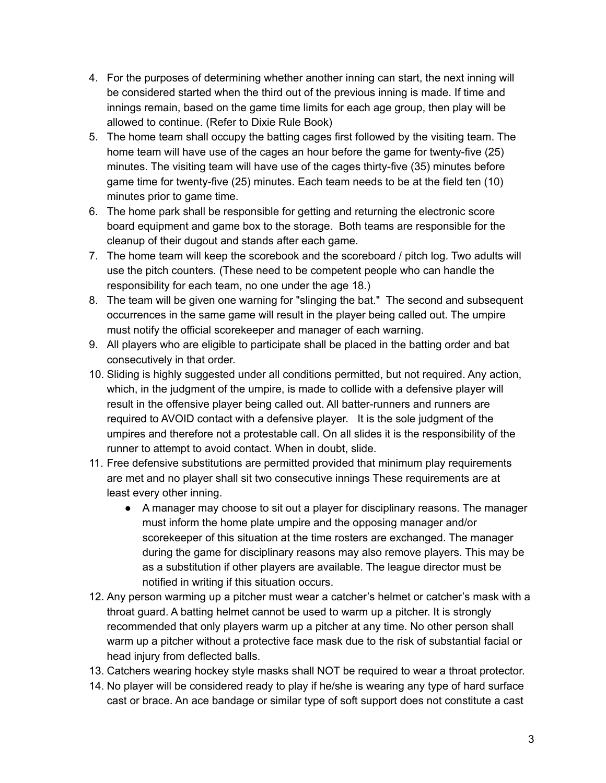- 4. For the purposes of determining whether another inning can start, the next inning will be considered started when the third out of the previous inning is made. If time and innings remain, based on the game time limits for each age group, then play will be allowed to continue. (Refer to Dixie Rule Book)
- 5. The home team shall occupy the batting cages first followed by the visiting team. The home team will have use of the cages an hour before the game for twenty-five (25) minutes. The visiting team will have use of the cages thirty-five (35) minutes before game time for twenty-five (25) minutes. Each team needs to be at the field ten (10) minutes prior to game time.
- 6. The home park shall be responsible for getting and returning the electronic score board equipment and game box to the storage. Both teams are responsible for the cleanup of their dugout and stands after each game.
- 7. The home team will keep the scorebook and the scoreboard / pitch log. Two adults will use the pitch counters. (These need to be competent people who can handle the responsibility for each team, no one under the age 18.)
- 8. The team will be given one warning for "slinging the bat." The second and subsequent occurrences in the same game will result in the player being called out. The umpire must notify the official scorekeeper and manager of each warning.
- 9. All players who are eligible to participate shall be placed in the batting order and bat consecutively in that order.
- 10. Sliding is highly suggested under all conditions permitted, but not required. Any action, which, in the judgment of the umpire, is made to collide with a defensive player will result in the offensive player being called out. All batter-runners and runners are required to AVOID contact with a defensive player. It is the sole judgment of the umpires and therefore not a protestable call. On all slides it is the responsibility of the runner to attempt to avoid contact. When in doubt, slide.
- 11. Free defensive substitutions are permitted provided that minimum play requirements are met and no player shall sit two consecutive innings These requirements are at least every other inning.
	- A manager may choose to sit out a player for disciplinary reasons. The manager must inform the home plate umpire and the opposing manager and/or scorekeeper of this situation at the time rosters are exchanged. The manager during the game for disciplinary reasons may also remove players. This may be as a substitution if other players are available. The league director must be notified in writing if this situation occurs.
- 12. Any person warming up a pitcher must wear a catcher's helmet or catcher's mask with a throat guard. A batting helmet cannot be used to warm up a pitcher. It is strongly recommended that only players warm up a pitcher at any time. No other person shall warm up a pitcher without a protective face mask due to the risk of substantial facial or head injury from deflected balls.
- 13. Catchers wearing hockey style masks shall NOT be required to wear a throat protector.
- 14. No player will be considered ready to play if he/she is wearing any type of hard surface cast or brace. An ace bandage or similar type of soft support does not constitute a cast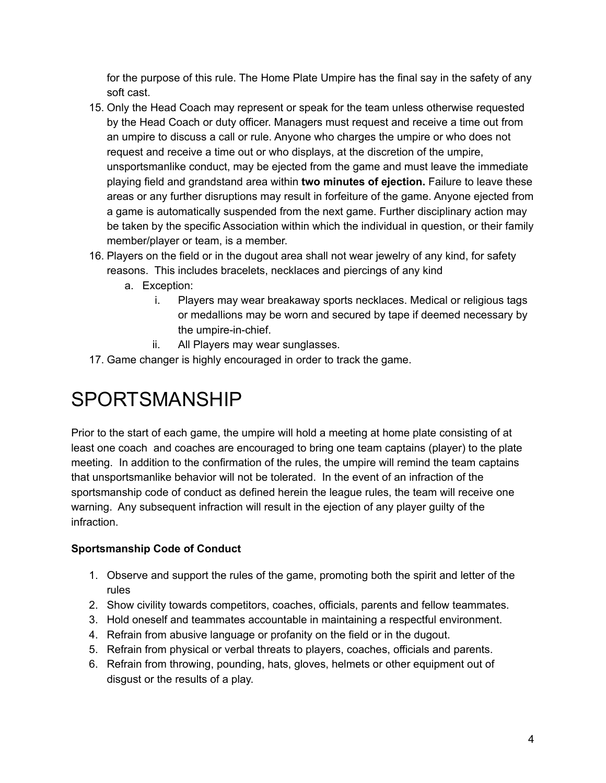for the purpose of this rule. The Home Plate Umpire has the final say in the safety of any soft cast.

- 15. Only the Head Coach may represent or speak for the team unless otherwise requested by the Head Coach or duty officer. Managers must request and receive a time out from an umpire to discuss a call or rule. Anyone who charges the umpire or who does not request and receive a time out or who displays, at the discretion of the umpire, unsportsmanlike conduct, may be ejected from the game and must leave the immediate playing field and grandstand area within **two minutes of ejection.** Failure to leave these areas or any further disruptions may result in forfeiture of the game. Anyone ejected from a game is automatically suspended from the next game. Further disciplinary action may be taken by the specific Association within which the individual in question, or their family member/player or team, is a member.
- 16. Players on the field or in the dugout area shall not wear jewelry of any kind, for safety reasons. This includes bracelets, necklaces and piercings of any kind
	- a. Exception:
		- i. Players may wear breakaway sports necklaces. Medical or religious tags or medallions may be worn and secured by tape if deemed necessary by the umpire-in-chief.
		- ii. All Players may wear sunglasses.
- 17. Game changer is highly encouraged in order to track the game.

### SPORTSMANSHIP

Prior to the start of each game, the umpire will hold a meeting at home plate consisting of at least one coach and coaches are encouraged to bring one team captains (player) to the plate meeting. In addition to the confirmation of the rules, the umpire will remind the team captains that unsportsmanlike behavior will not be tolerated. In the event of an infraction of the sportsmanship code of conduct as defined herein the league rules, the team will receive one warning. Any subsequent infraction will result in the ejection of any player guilty of the infraction.

#### **Sportsmanship Code of Conduct**

- 1. Observe and support the rules of the game, promoting both the spirit and letter of the rules
- 2. Show civility towards competitors, coaches, officials, parents and fellow teammates.
- 3. Hold oneself and teammates accountable in maintaining a respectful environment.
- 4. Refrain from abusive language or profanity on the field or in the dugout.
- 5. Refrain from physical or verbal threats to players, coaches, officials and parents.
- 6. Refrain from throwing, pounding, hats, gloves, helmets or other equipment out of disgust or the results of a play.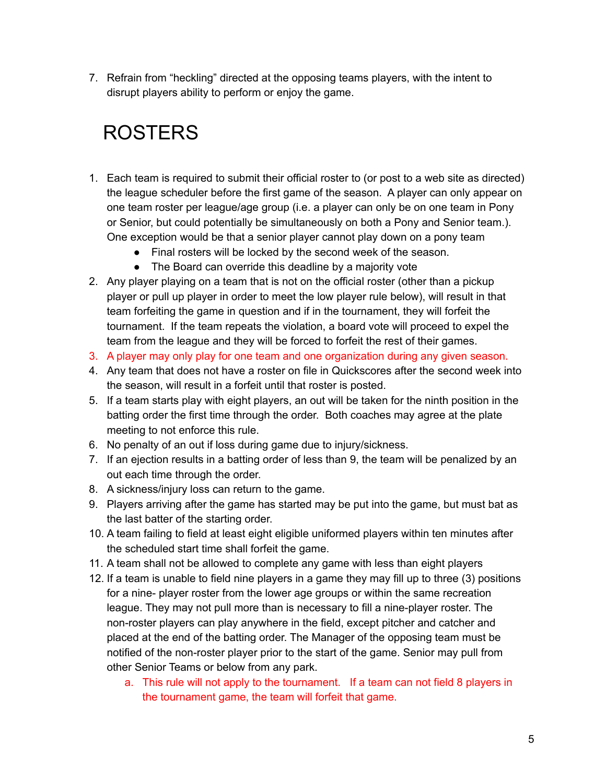7. Refrain from "heckling" directed at the opposing teams players, with the intent to disrupt players ability to perform or enjoy the game.

## ROSTERS

- 1. Each team is required to submit their official roster to (or post to a web site as directed) the league scheduler before the first game of the season. A player can only appear on one team roster per league/age group (i.e. a player can only be on one team in Pony or Senior, but could potentially be simultaneously on both a Pony and Senior team.). One exception would be that a senior player cannot play down on a pony team
	- Final rosters will be locked by the second week of the season.
	- The Board can override this deadline by a majority vote
- 2. Any player playing on a team that is not on the official roster (other than a pickup player or pull up player in order to meet the low player rule below), will result in that team forfeiting the game in question and if in the tournament, they will forfeit the tournament. If the team repeats the violation, a board vote will proceed to expel the team from the league and they will be forced to forfeit the rest of their games.
- 3. A player may only play for one team and one organization during any given season.
- 4. Any team that does not have a roster on file in Quickscores after the second week into the season, will result in a forfeit until that roster is posted.
- 5. If a team starts play with eight players, an out will be taken for the ninth position in the batting order the first time through the order. Both coaches may agree at the plate meeting to not enforce this rule.
- 6. No penalty of an out if loss during game due to injury/sickness.
- 7. If an ejection results in a batting order of less than 9, the team will be penalized by an out each time through the order.
- 8. A sickness/injury loss can return to the game.
- 9. Players arriving after the game has started may be put into the game, but must bat as the last batter of the starting order.
- 10. A team failing to field at least eight eligible uniformed players within ten minutes after the scheduled start time shall forfeit the game.
- 11. A team shall not be allowed to complete any game with less than eight players
- 12. If a team is unable to field nine players in a game they may fill up to three (3) positions for a nine- player roster from the lower age groups or within the same recreation league. They may not pull more than is necessary to fill a nine-player roster. The non-roster players can play anywhere in the field, except pitcher and catcher and placed at the end of the batting order. The Manager of the opposing team must be notified of the non-roster player prior to the start of the game. Senior may pull from other Senior Teams or below from any park.
	- a. This rule will not apply to the tournament. If a team can not field 8 players in the tournament game, the team will forfeit that game.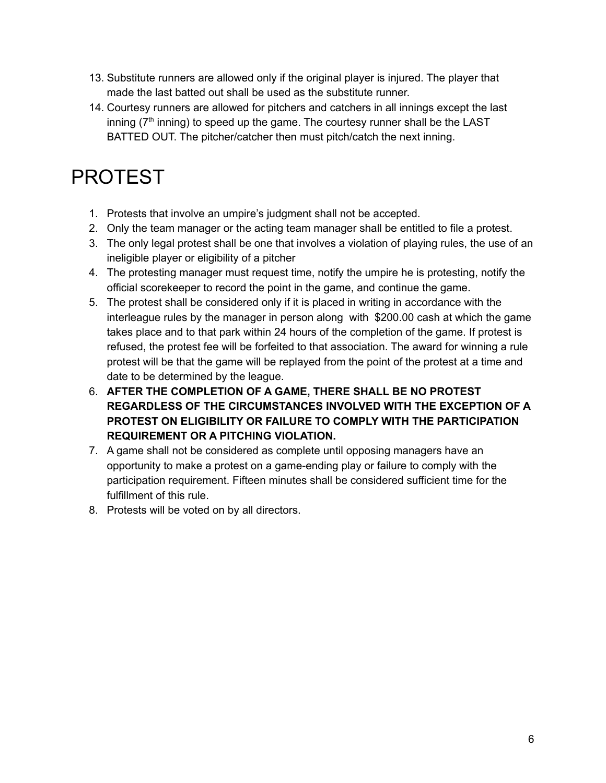- 13. Substitute runners are allowed only if the original player is injured. The player that made the last batted out shall be used as the substitute runner.
- 14. Courtesy runners are allowed for pitchers and catchers in all innings except the last inning ( $7<sup>th</sup>$  inning) to speed up the game. The courtesy runner shall be the LAST BATTED OUT. The pitcher/catcher then must pitch/catch the next inning.

# PROTEST

- 1. Protests that involve an umpire's judgment shall not be accepted.
- 2. Only the team manager or the acting team manager shall be entitled to file a protest.
- 3. The only legal protest shall be one that involves a violation of playing rules, the use of an ineligible player or eligibility of a pitcher
- 4. The protesting manager must request time, notify the umpire he is protesting, notify the official scorekeeper to record the point in the game, and continue the game.
- 5. The protest shall be considered only if it is placed in writing in accordance with the interleague rules by the manager in person along with \$200.00 cash at which the game takes place and to that park within 24 hours of the completion of the game. If protest is refused, the protest fee will be forfeited to that association. The award for winning a rule protest will be that the game will be replayed from the point of the protest at a time and date to be determined by the league.
- 6. **AFTER THE COMPLETION OF A GAME, THERE SHALL BE NO PROTEST REGARDLESS OF THE CIRCUMSTANCES INVOLVED WITH THE EXCEPTION OF A PROTEST ON ELIGIBILITY OR FAILURE TO COMPLY WITH THE PARTICIPATION REQUIREMENT OR A PITCHING VIOLATION.**
- 7. A game shall not be considered as complete until opposing managers have an opportunity to make a protest on a game-ending play or failure to comply with the participation requirement. Fifteen minutes shall be considered sufficient time for the fulfillment of this rule.
- 8. Protests will be voted on by all directors.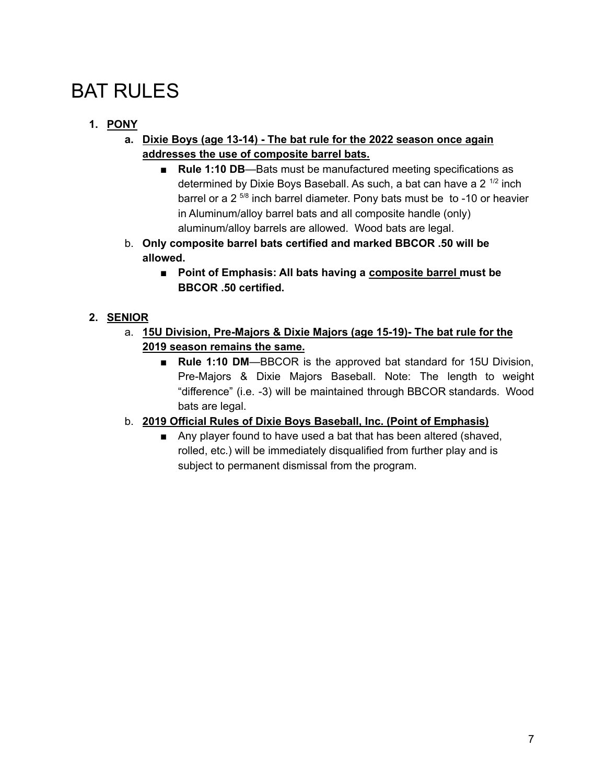### **BAT RULES**

### **1. PONY**

- **a. Dixie Boys (age 13-14) - The bat rule for the 2022 season once again addresses the use of composite barrel bats.**
	- **Rule 1:10 DB**—Bats must be manufactured meeting specifications as determined by Dixie Boys Baseball. As such, a bat can have a 2<sup>1/2</sup> inch barrel or a 2<sup>5/8</sup> inch barrel diameter. Pony bats must be to -10 or heavier in Aluminum/alloy barrel bats and all composite handle (only) aluminum/alloy barrels are allowed. Wood bats are legal.
- b. **Only composite barrel bats certified and marked BBCOR .50 will be allowed.**
	- **■ Point of Emphasis: All bats having a composite barrel must be BBCOR .50 certified.**

### **2. SENIOR**

- a. **15U Division, Pre-Majors & Dixie Majors (age 15-19)- The bat rule for the 2019 season remains the same.**
	- **Rule 1:10 DM—BBCOR** is the approved bat standard for 15U Division, Pre-Majors & Dixie Majors Baseball. Note: The length to weight "difference" (i.e. -3) will be maintained through BBCOR standards. Wood bats are legal.

### b. **2019 Official Rules of Dixie Boys Baseball, Inc. (Point of Emphasis)**

■ Any player found to have used a bat that has been altered (shaved, rolled, etc.) will be immediately disqualified from further play and is subject to permanent dismissal from the program.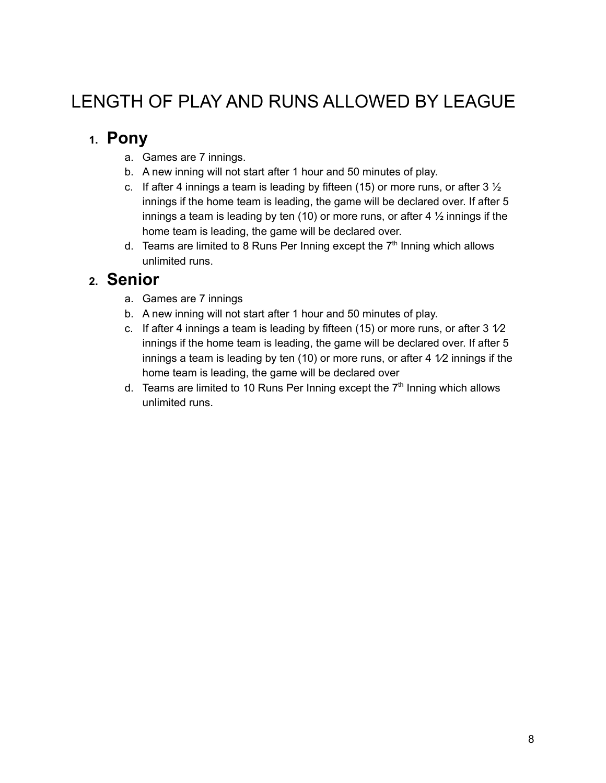### LENGTH OF PLAY AND RUNS ALLOWED BY LEAGUE

### **1. Pony**

- a. Games are 7 innings.
- b. A new inning will not start after 1 hour and 50 minutes of play.
- c. If after 4 innings a team is leading by fifteen (15) or more runs, or after  $3\frac{1}{2}$ innings if the home team is leading, the game will be declared over. If after 5 innings a team is leading by ten (10) or more runs, or after 4 ½ innings if the home team is leading, the game will be declared over.
- d. Teams are limited to 8 Runs Per Inning except the  $7<sup>th</sup>$  Inning which allows unlimited runs.

### **2. Senior**

- a. Games are 7 innings
- b. A new inning will not start after 1 hour and 50 minutes of play.
- c. If after 4 innings a team is leading by fifteen (15) or more runs, or after  $3\sqrt{2}$ innings if the home team is leading, the game will be declared over. If after 5 innings a team is leading by ten (10) or more runs, or after 4  $1/2$  innings if the home team is leading, the game will be declared over
- d. Teams are limited to 10 Runs Per Inning except the  $7<sup>th</sup>$  Inning which allows unlimited runs.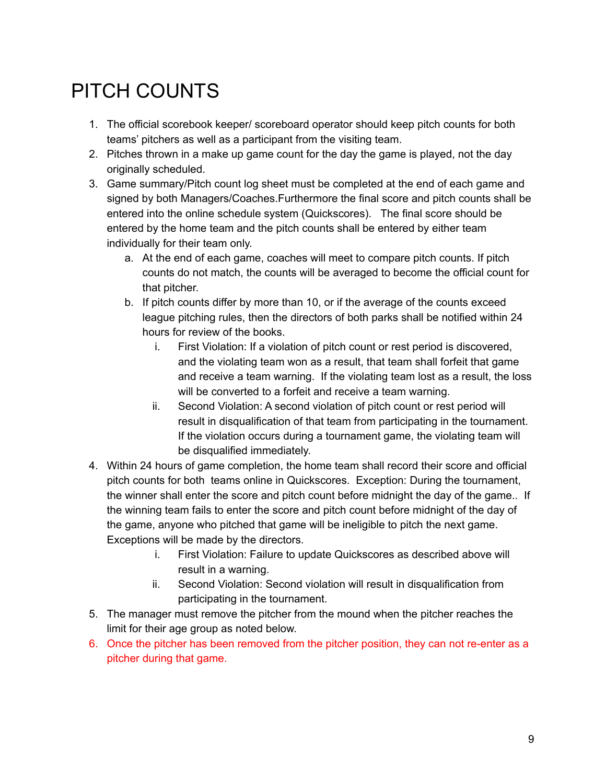# PITCH COUNTS

- 1. The official scorebook keeper/ scoreboard operator should keep pitch counts for both teams' pitchers as well as a participant from the visiting team.
- 2. Pitches thrown in a make up game count for the day the game is played, not the day originally scheduled.
- 3. Game summary/Pitch count log sheet must be completed at the end of each game and signed by both Managers/Coaches.Furthermore the final score and pitch counts shall be entered into the online schedule system (Quickscores). The final score should be entered by the home team and the pitch counts shall be entered by either team individually for their team only.
	- a. At the end of each game, coaches will meet to compare pitch counts. If pitch counts do not match, the counts will be averaged to become the official count for that pitcher.
	- b. If pitch counts differ by more than 10, or if the average of the counts exceed league pitching rules, then the directors of both parks shall be notified within 24 hours for review of the books.
		- i. First Violation: If a violation of pitch count or rest period is discovered, and the violating team won as a result, that team shall forfeit that game and receive a team warning. If the violating team lost as a result, the loss will be converted to a forfeit and receive a team warning.
		- ii. Second Violation: A second violation of pitch count or rest period will result in disqualification of that team from participating in the tournament. If the violation occurs during a tournament game, the violating team will be disqualified immediately.
- 4. Within 24 hours of game completion, the home team shall record their score and official pitch counts for both teams online in Quickscores. Exception: During the tournament, the winner shall enter the score and pitch count before midnight the day of the game.. If the winning team fails to enter the score and pitch count before midnight of the day of the game, anyone who pitched that game will be ineligible to pitch the next game. Exceptions will be made by the directors.
	- i. First Violation: Failure to update Quickscores as described above will result in a warning.
	- ii. Second Violation: Second violation will result in disqualification from participating in the tournament.
- 5. The manager must remove the pitcher from the mound when the pitcher reaches the limit for their age group as noted below.
- 6. Once the pitcher has been removed from the pitcher position, they can not re-enter as a pitcher during that game.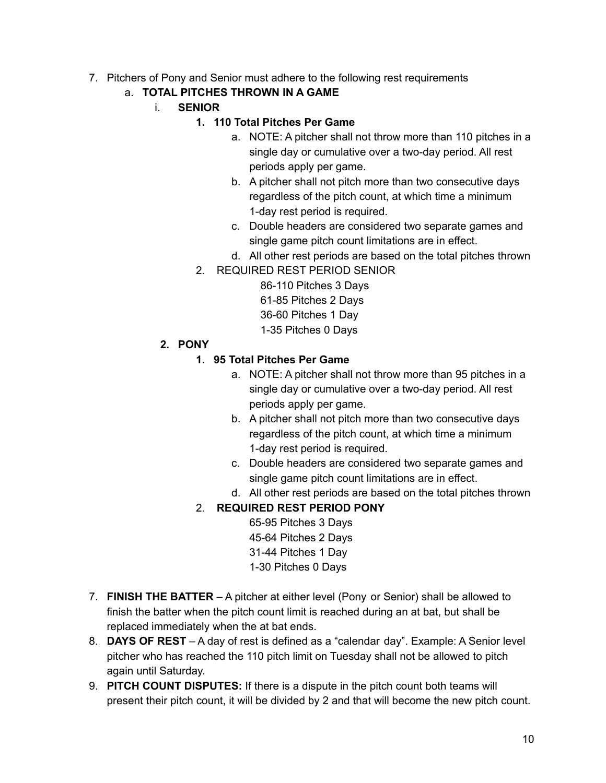- 7. Pitchers of Pony and Senior must adhere to the following rest requirements
	- a. **TOTAL PITCHES THROWN IN A GAME**
		- i. **SENIOR**

#### **1. 110 Total Pitches Per Game**

- a. NOTE: A pitcher shall not throw more than 110 pitches in a single day or cumulative over a two-day period. All rest periods apply per game.
- b. A pitcher shall not pitch more than two consecutive days regardless of the pitch count, at which time a minimum 1-day rest period is required.
- c. Double headers are considered two separate games and single game pitch count limitations are in effect.
- d. All other rest periods are based on the total pitches thrown
- 2. REQUIRED REST PERIOD SENIOR

86-110 Pitches 3 Days 61-85 Pitches 2 Days 36-60 Pitches 1 Day 1-35 Pitches 0 Days

**2. PONY**

#### **1. 95 Total Pitches Per Game**

- a. NOTE: A pitcher shall not throw more than 95 pitches in a single day or cumulative over a two-day period. All rest periods apply per game.
- b. A pitcher shall not pitch more than two consecutive days regardless of the pitch count, at which time a minimum 1-day rest period is required.
- c. Double headers are considered two separate games and single game pitch count limitations are in effect.
- d. All other rest periods are based on the total pitches thrown

### 2. **REQUIRED REST PERIOD PONY**

65-95 Pitches 3 Days 45-64 Pitches 2 Days 31-44 Pitches 1 Day 1-30 Pitches 0 Days

- 7. **FINISH THE BATTER** A pitcher at either level (Pony or Senior) shall be allowed to finish the batter when the pitch count limit is reached during an at bat, but shall be replaced immediately when the at bat ends.
- 8. **DAYS OF REST** A day of rest is defined as a "calendar day". Example: A Senior level pitcher who has reached the 110 pitch limit on Tuesday shall not be allowed to pitch again until Saturday.
- 9. **PITCH COUNT DISPUTES:** If there is a dispute in the pitch count both teams will present their pitch count, it will be divided by 2 and that will become the new pitch count.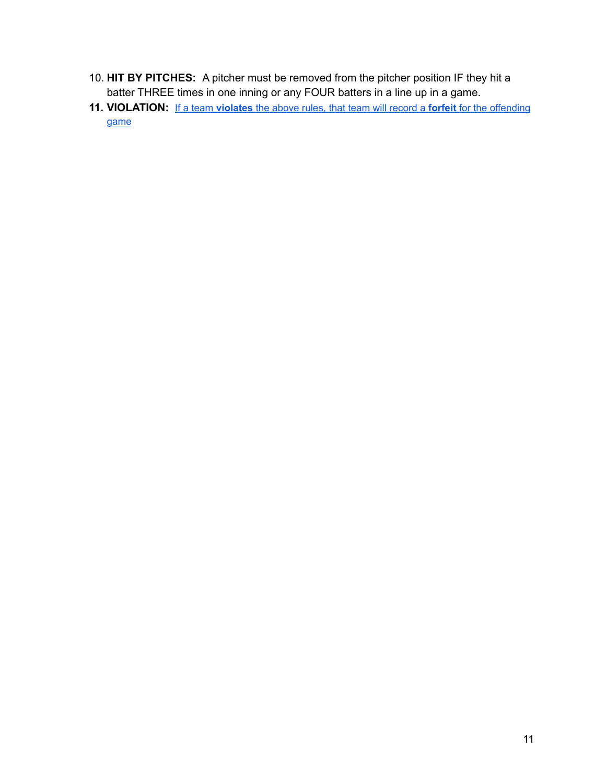- 10. **HIT BY PITCHES:** A pitcher must be removed from the pitcher position IF they hit a batter THREE times in one inning or any FOUR batters in a line up in a game.
- **11. VIOLATION:** If a team **violates** the above rules, that team will record a **forfeit** for the offending game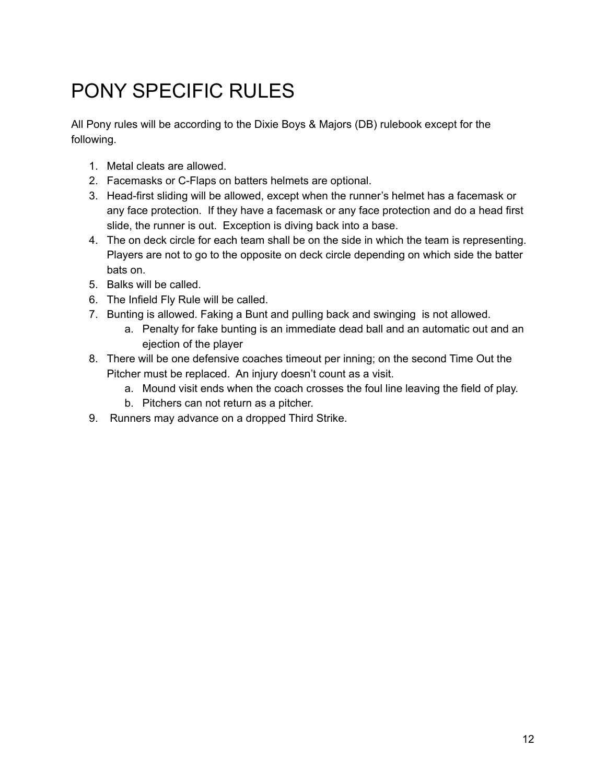# PONY SPECIFIC RULES

All Pony rules will be according to the Dixie Boys & Majors (DB) rulebook except for the following.

- 1. Metal cleats are allowed.
- 2. Facemasks or C-Flaps on batters helmets are optional.
- 3. Head-first sliding will be allowed, except when the runner's helmet has a facemask or any face protection. If they have a facemask or any face protection and do a head first slide, the runner is out. Exception is diving back into a base.
- 4. The on deck circle for each team shall be on the side in which the team is representing. Players are not to go to the opposite on deck circle depending on which side the batter bats on.
- 5. Balks will be called.
- 6. The Infield Fly Rule will be called.
- 7. Bunting is allowed. Faking a Bunt and pulling back and swinging is not allowed.
	- a. Penalty for fake bunting is an immediate dead ball and an automatic out and an ejection of the player
- 8. There will be one defensive coaches timeout per inning; on the second Time Out the Pitcher must be replaced. An injury doesn't count as a visit.
	- a. Mound visit ends when the coach crosses the foul line leaving the field of play.
	- b. Pitchers can not return as a pitcher.
- 9. Runners may advance on a dropped Third Strike.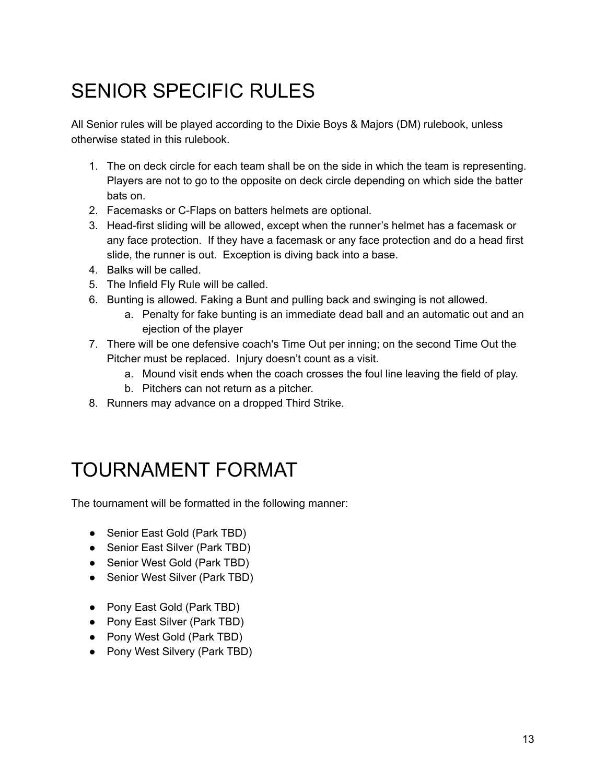# SENIOR SPECIFIC RULES

All Senior rules will be played according to the Dixie Boys & Majors (DM) rulebook, unless otherwise stated in this rulebook.

- 1. The on deck circle for each team shall be on the side in which the team is representing. Players are not to go to the opposite on deck circle depending on which side the batter bats on.
- 2. Facemasks or C-Flaps on batters helmets are optional.
- 3. Head-first sliding will be allowed, except when the runner's helmet has a facemask or any face protection. If they have a facemask or any face protection and do a head first slide, the runner is out. Exception is diving back into a base.
- 4. Balks will be called.
- 5. The Infield Fly Rule will be called.
- 6. Bunting is allowed. Faking a Bunt and pulling back and swinging is not allowed.
	- a. Penalty for fake bunting is an immediate dead ball and an automatic out and an ejection of the player
- 7. There will be one defensive coach's Time Out per inning; on the second Time Out the Pitcher must be replaced. Injury doesn't count as a visit.
	- a. Mound visit ends when the coach crosses the foul line leaving the field of play.
	- b. Pitchers can not return as a pitcher.
- 8. Runners may advance on a dropped Third Strike.

### TOURNAMENT FORMAT

The tournament will be formatted in the following manner:

- Senior East Gold (Park TBD)
- Senior East Silver (Park TBD)
- Senior West Gold (Park TBD)
- Senior West Silver (Park TBD)
- Pony East Gold (Park TBD)
- Pony East Silver (Park TBD)
- Pony West Gold (Park TBD)
- Pony West Silvery (Park TBD)